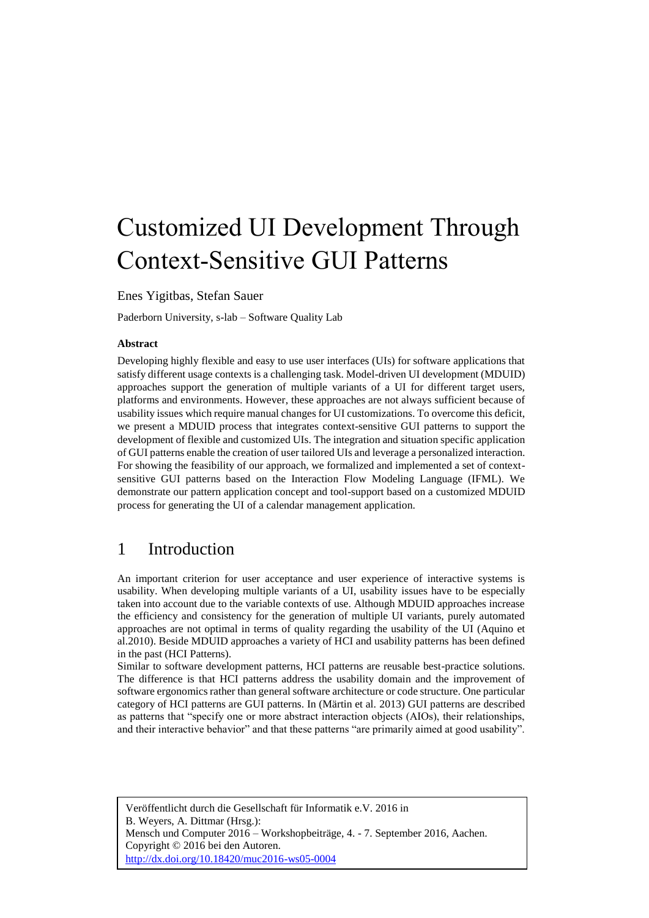# Customized UI Development Through Context-Sensitive GUI Patterns

Enes Yigitbas, Stefan Sauer

Paderborn University, s-lab – Software Quality Lab

#### **Abstract**

Developing highly flexible and easy to use user interfaces (UIs) for software applications that satisfy different usage contexts is a challenging task. Model-driven UI development (MDUID) approaches support the generation of multiple variants of a UI for different target users, platforms and environments. However, these approaches are not always sufficient because of usability issues which require manual changes for UI customizations. To overcome this deficit, we present a MDUID process that integrates context-sensitive GUI patterns to support the development of flexible and customized UIs. The integration and situation specific application of GUI patterns enable the creation of user tailored UIs and leverage a personalized interaction. For showing the feasibility of our approach, we formalized and implemented a set of contextsensitive GUI patterns based on the Interaction Flow Modeling Language (IFML). We demonstrate our pattern application concept and tool-support based on a customized MDUID process for generating the UI of a calendar management application.

### 1 Introduction

An important criterion for user acceptance and user experience of interactive systems is usability. When developing multiple variants of a UI, usability issues have to be especially taken into account due to the variable contexts of use. Although MDUID approaches increase the efficiency and consistency for the generation of multiple UI variants, purely automated approaches are not optimal in terms of quality regarding the usability of the UI (Aquino et al.2010). Beside MDUID approaches a variety of HCI and usability patterns has been defined in the past (HCI Patterns).

Similar to software development patterns, HCI patterns are reusable best-practice solutions. The difference is that HCI patterns address the usability domain and the improvement of software ergonomics rather than general software architecture or code structure. One particular category of HCI patterns are GUI patterns. In (Märtin et al. 2013) GUI patterns are described as patterns that "specify one or more abstract interaction objects (AIOs), their relationships, and their interactive behavior" and that these patterns "are primarily aimed at good usability".

Veröffentlicht durch die Gesellschaft für Informatik e.V. 2016 in B. Weyers, A. Dittmar (Hrsg.): Mensch und Computer 2016 – Workshopbeiträge, 4. - 7. September 2016, Aachen. Copyright © 2016 bei den Autoren. <http://dx.doi.org/10.18420/muc2016-ws05-0004>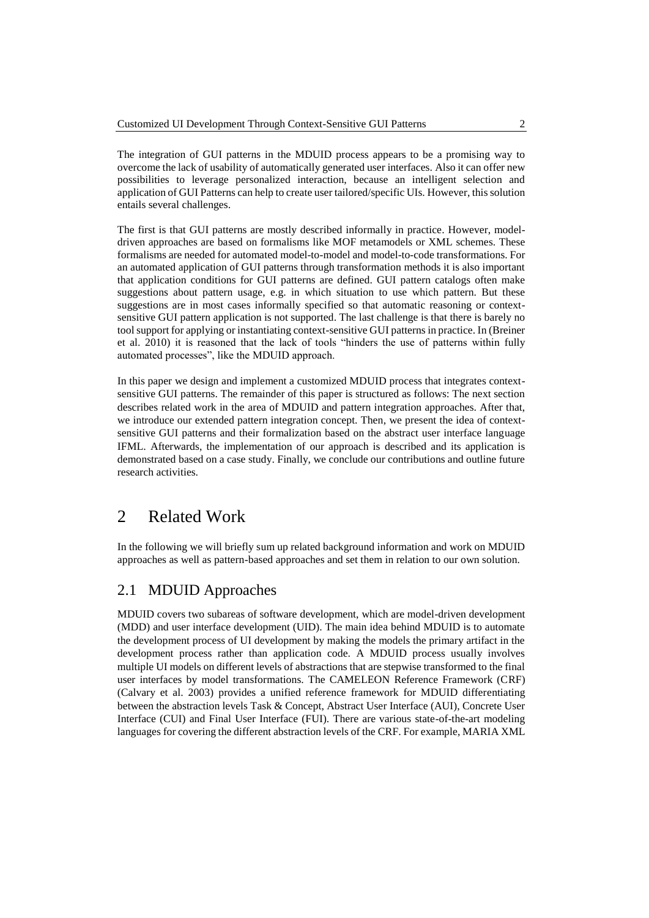The integration of GUI patterns in the MDUID process appears to be a promising way to overcome the lack of usability of automatically generated user interfaces. Also it can offer new possibilities to leverage personalized interaction, because an intelligent selection and application of GUI Patterns can help to create user tailored/specific UIs. However, this solution entails several challenges.

The first is that GUI patterns are mostly described informally in practice. However, modeldriven approaches are based on formalisms like MOF metamodels or XML schemes. These formalisms are needed for automated model-to-model and model-to-code transformations. For an automated application of GUI patterns through transformation methods it is also important that application conditions for GUI patterns are defined. GUI pattern catalogs often make suggestions about pattern usage, e.g. in which situation to use which pattern. But these suggestions are in most cases informally specified so that automatic reasoning or contextsensitive GUI pattern application is not supported. The last challenge is that there is barely no tool support for applying or instantiating context-sensitive GUI patterns in practice. In (Breiner et al. 2010) it is reasoned that the lack of tools "hinders the use of patterns within fully automated processes", like the MDUID approach.

In this paper we design and implement a customized MDUID process that integrates contextsensitive GUI patterns. The remainder of this paper is structured as follows: The next section describes related work in the area of MDUID and pattern integration approaches. After that, we introduce our extended pattern integration concept. Then, we present the idea of contextsensitive GUI patterns and their formalization based on the abstract user interface language IFML. Afterwards, the implementation of our approach is described and its application is demonstrated based on a case study. Finally, we conclude our contributions and outline future research activities.

### 2 Related Work

In the following we will briefly sum up related background information and work on MDUID approaches as well as pattern-based approaches and set them in relation to our own solution.

### 2.1 MDUID Approaches

MDUID covers two subareas of software development, which are model-driven development (MDD) and user interface development (UID). The main idea behind MDUID is to automate the development process of UI development by making the models the primary artifact in the development process rather than application code. A MDUID process usually involves multiple UI models on different levels of abstractions that are stepwise transformed to the final user interfaces by model transformations. The CAMELEON Reference Framework (CRF) (Calvary et al. 2003) provides a unified reference framework for MDUID differentiating between the abstraction levels Task & Concept, Abstract User Interface (AUI), Concrete User Interface (CUI) and Final User Interface (FUI). There are various state-of-the-art modeling languages for covering the different abstraction levels of the CRF. For example, MARIA XML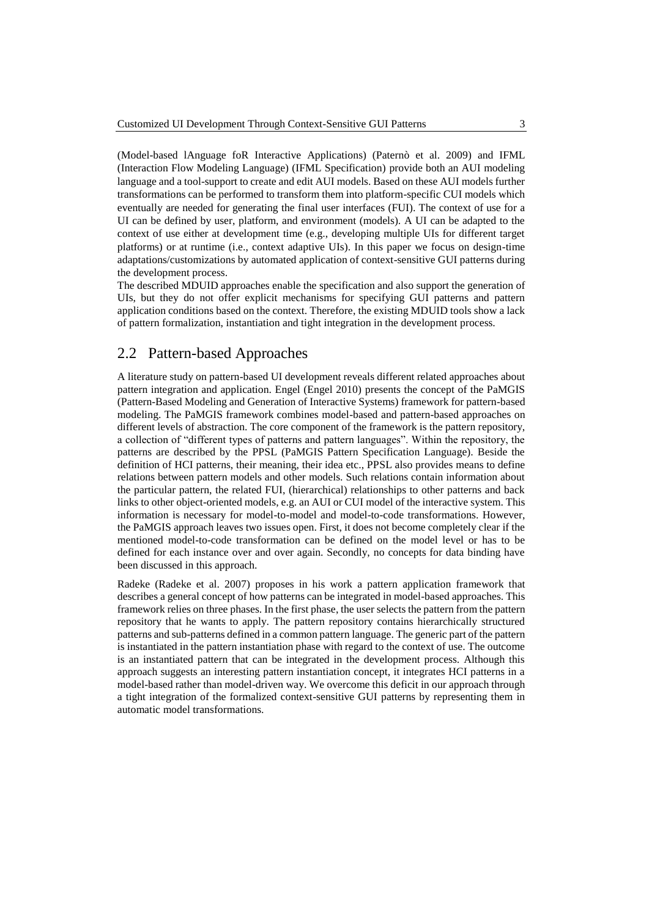(Model-based lAnguage foR Interactive Applications) (Paternò et al. 2009) and IFML (Interaction Flow Modeling Language) (IFML Specification) provide both an AUI modeling language and a tool-support to create and edit AUI models. Based on these AUI models further transformations can be performed to transform them into platform-specific CUI models which eventually are needed for generating the final user interfaces (FUI). The context of use for a UI can be defined by user, platform, and environment (models). A UI can be adapted to the context of use either at development time (e.g., developing multiple UIs for different target platforms) or at runtime (i.e., context adaptive UIs). In this paper we focus on design-time adaptations/customizations by automated application of context-sensitive GUI patterns during the development process.

The described MDUID approaches enable the specification and also support the generation of UIs, but they do not offer explicit mechanisms for specifying GUI patterns and pattern application conditions based on the context. Therefore, the existing MDUID tools show a lack of pattern formalization, instantiation and tight integration in the development process.

### 2.2 Pattern-based Approaches

A literature study on pattern-based UI development reveals different related approaches about pattern integration and application. Engel (Engel 2010) presents the concept of the PaMGIS (Pattern-Based Modeling and Generation of Interactive Systems) framework for pattern-based modeling. The PaMGIS framework combines model-based and pattern-based approaches on different levels of abstraction. The core component of the framework is the pattern repository, a collection of "different types of patterns and pattern languages". Within the repository, the patterns are described by the PPSL (PaMGIS Pattern Specification Language). Beside the definition of HCI patterns, their meaning, their idea etc., PPSL also provides means to define relations between pattern models and other models. Such relations contain information about the particular pattern, the related FUI, (hierarchical) relationships to other patterns and back links to other object-oriented models, e.g. an AUI or CUI model of the interactive system. This information is necessary for model-to-model and model-to-code transformations. However, the PaMGIS approach leaves two issues open. First, it does not become completely clear if the mentioned model-to-code transformation can be defined on the model level or has to be defined for each instance over and over again. Secondly, no concepts for data binding have been discussed in this approach.

Radeke (Radeke et al. 2007) proposes in his work a pattern application framework that describes a general concept of how patterns can be integrated in model-based approaches. This framework relies on three phases. In the first phase, the user selects the pattern from the pattern repository that he wants to apply. The pattern repository contains hierarchically structured patterns and sub-patterns defined in a common pattern language. The generic part of the pattern is instantiated in the pattern instantiation phase with regard to the context of use. The outcome is an instantiated pattern that can be integrated in the development process. Although this approach suggests an interesting pattern instantiation concept, it integrates HCI patterns in a model-based rather than model-driven way. We overcome this deficit in our approach through a tight integration of the formalized context-sensitive GUI patterns by representing them in automatic model transformations.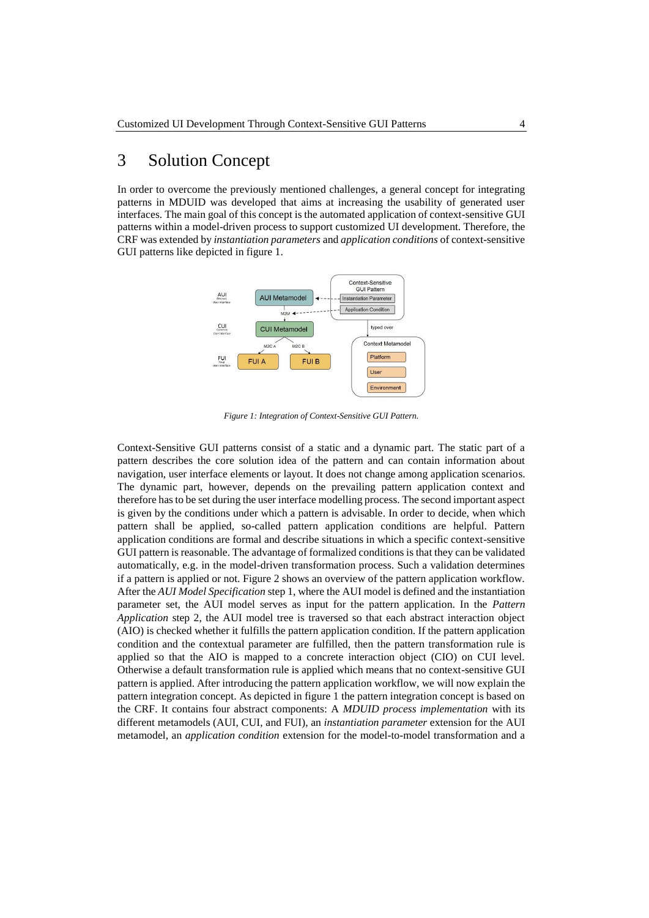### 3 Solution Concept

In order to overcome the previously mentioned challenges, a general concept for integrating patterns in MDUID was developed that aims at increasing the usability of generated user interfaces. The main goal of this concept is the automated application of context-sensitive GUI patterns within a model-driven process to support customized UI development. Therefore, the CRF was extended by *instantiation parameters* and *application conditions* of context-sensitive GUI patterns like depicted in figure 1.



*Figure 1: Integration of Context-Sensitive GUI Pattern.*

Context-Sensitive GUI patterns consist of a static and a dynamic part. The static part of a pattern describes the core solution idea of the pattern and can contain information about navigation, user interface elements or layout. It does not change among application scenarios. The dynamic part, however, depends on the prevailing pattern application context and therefore has to be set during the user interface modelling process. The second important aspect is given by the conditions under which a pattern is advisable. In order to decide, when which pattern shall be applied, so-called pattern application conditions are helpful. Pattern application conditions are formal and describe situations in which a specific context-sensitive GUI pattern is reasonable. The advantage of formalized conditions is that they can be validated automatically, e.g. in the model-driven transformation process. Such a validation determines if a pattern is applied or not. Figure 2 shows an overview of the pattern application workflow. After the *AUI Model Specification* step 1, where the AUI model is defined and the instantiation parameter set, the AUI model serves as input for the pattern application. In the *Pattern Application* step 2, the AUI model tree is traversed so that each abstract interaction object (AIO) is checked whether it fulfills the pattern application condition. If the pattern application condition and the contextual parameter are fulfilled, then the pattern transformation rule is applied so that the AIO is mapped to a concrete interaction object (CIO) on CUI level. Otherwise a default transformation rule is applied which means that no context-sensitive GUI pattern is applied. After introducing the pattern application workflow, we will now explain the pattern integration concept. As depicted in figure 1 the pattern integration concept is based on the CRF. It contains four abstract components: A *MDUID process implementation* with its different metamodels (AUI, CUI, and FUI), an *instantiation parameter* extension for the AUI metamodel, an *application condition* extension for the model-to-model transformation and a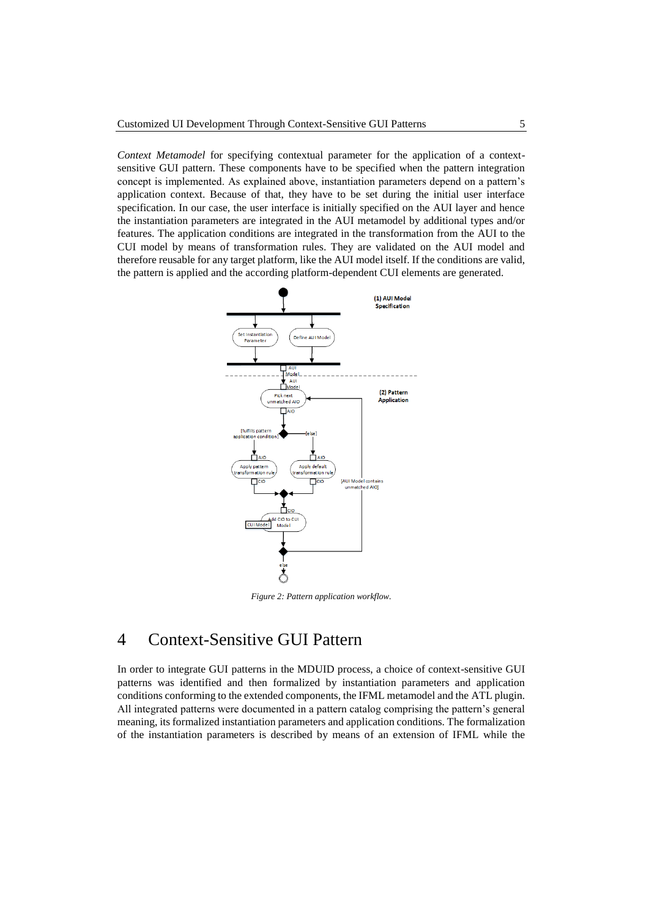*Context Metamodel* for specifying contextual parameter for the application of a contextsensitive GUI pattern. These components have to be specified when the pattern integration concept is implemented. As explained above, instantiation parameters depend on a pattern's application context. Because of that, they have to be set during the initial user interface specification. In our case, the user interface is initially specified on the AUI layer and hence the instantiation parameters are integrated in the AUI metamodel by additional types and/or features. The application conditions are integrated in the transformation from the AUI to the CUI model by means of transformation rules. They are validated on the AUI model and therefore reusable for any target platform, like the AUI model itself. If the conditions are valid, the pattern is applied and the according platform-dependent CUI elements are generated.



*Figure 2: Pattern application workflow.*

### 4 Context-Sensitive GUI Pattern

In order to integrate GUI patterns in the MDUID process, a choice of context-sensitive GUI patterns was identified and then formalized by instantiation parameters and application conditions conforming to the extended components, the IFML metamodel and the ATL plugin. All integrated patterns were documented in a pattern catalog comprising the pattern's general meaning, its formalized instantiation parameters and application conditions. The formalization of the instantiation parameters is described by means of an extension of IFML while the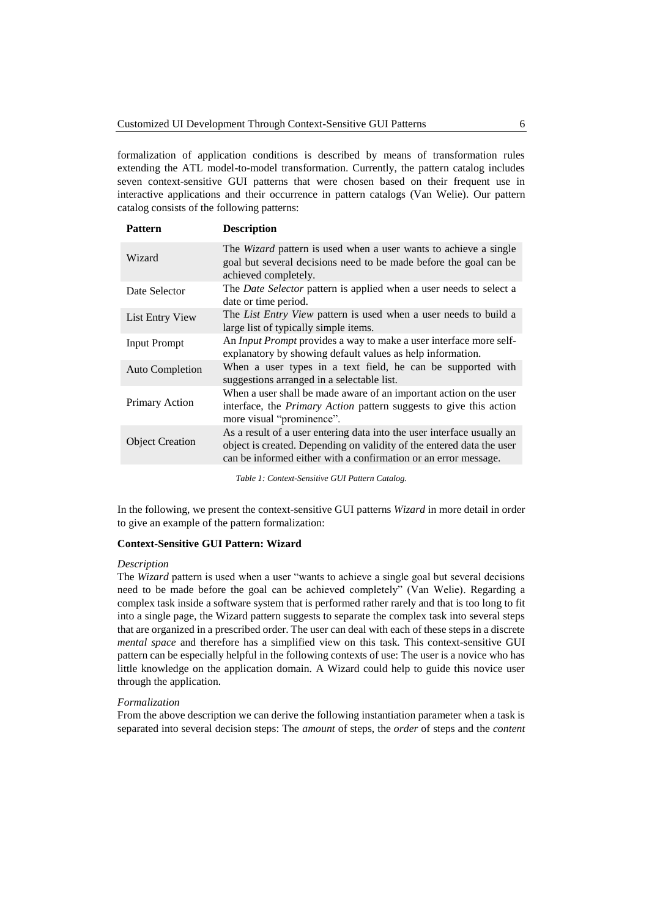formalization of application conditions is described by means of transformation rules extending the ATL model-to-model transformation. Currently, the pattern catalog includes seven context-sensitive GUI patterns that were chosen based on their frequent use in interactive applications and their occurrence in pattern catalogs (Van Welie). Our pattern catalog consists of the following patterns:

| <b>Pattern</b>         | <b>Description</b>                                                                                                                                                                                                 |
|------------------------|--------------------------------------------------------------------------------------------------------------------------------------------------------------------------------------------------------------------|
| Wizard                 | The <i>Wizard</i> pattern is used when a user wants to achieve a single<br>goal but several decisions need to be made before the goal can be<br>achieved completely.                                               |
| Date Selector          | The Date Selector pattern is applied when a user needs to select a<br>date or time period.                                                                                                                         |
| List Entry View        | The List Entry View pattern is used when a user needs to build a<br>large list of typically simple items.                                                                                                          |
| <b>Input Prompt</b>    | An Input Prompt provides a way to make a user interface more self-<br>explanatory by showing default values as help information.                                                                                   |
| Auto Completion        | When a user types in a text field, he can be supported with<br>suggestions arranged in a selectable list.                                                                                                          |
| Primary Action         | When a user shall be made aware of an important action on the user<br>interface, the <i>Primary Action</i> pattern suggests to give this action<br>more visual "prominence".                                       |
| <b>Object Creation</b> | As a result of a user entering data into the user interface usually an<br>object is created. Depending on validity of the entered data the user<br>can be informed either with a confirmation or an error message. |
|                        |                                                                                                                                                                                                                    |

*Table 1: Context-Sensitive GUI Pattern Catalog.* 

In the following, we present the context-sensitive GUI patterns *Wizard* in more detail in order to give an example of the pattern formalization:

#### **Context-Sensitive GUI Pattern: Wizard**

#### *Description*

The *Wizard* pattern is used when a user "wants to achieve a single goal but several decisions need to be made before the goal can be achieved completely" (Van Welie). Regarding a complex task inside a software system that is performed rather rarely and that is too long to fit into a single page, the Wizard pattern suggests to separate the complex task into several steps that are organized in a prescribed order. The user can deal with each of these steps in a discrete *mental space* and therefore has a simplified view on this task. This context-sensitive GUI pattern can be especially helpful in the following contexts of use: The user is a novice who has little knowledge on the application domain. A Wizard could help to guide this novice user through the application.

#### *Formalization*

From the above description we can derive the following instantiation parameter when a task is separated into several decision steps: The *amount* of steps, the *order* of steps and the *content*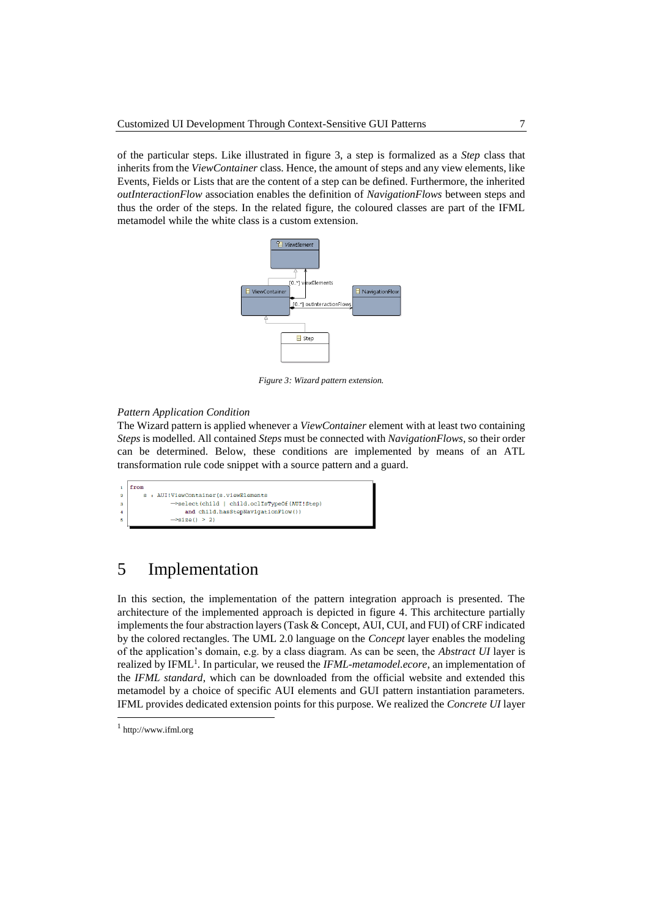of the particular steps. Like illustrated in figure 3, a step is formalized as a *Step* class that inherits from the *ViewContainer* class. Hence, the amount of steps and any view elements, like Events, Fields or Lists that are the content of a step can be defined. Furthermore, the inherited *outInteractionFlow* association enables the definition of *NavigationFlows* between steps and thus the order of the steps. In the related figure, the coloured classes are part of the IFML metamodel while the white class is a custom extension.



*Figure 3: Wizard pattern extension.*

#### *Pattern Application Condition*

The Wizard pattern is applied whenever a *ViewContainer* element with at least two containing *Steps* is modelled. All contained *Steps* must be connected with *NavigationFlows*, so their order can be determined. Below, these conditions are implemented by means of an ATL transformation rule code snippet with a source pattern and a guard.

```
from
              : AUI!ViewContainer(s.viewElements
                         ->select(child | child.oclIsTypeOf(AUI!Step)<br>and child.hasStepNavigationFlow())
\overline{\mathbf{3}}\rightarrowsize() > 2)
```
## 5 Implementation

In this section, the implementation of the pattern integration approach is presented. The architecture of the implemented approach is depicted in figure 4. This architecture partially implements the four abstraction layers (Task & Concept, AUI, CUI, and FUI) of CRF indicated by the colored rectangles. The UML 2.0 language on the *Concept* layer enables the modeling of the application's domain, e.g. by a class diagram. As can be seen, the *Abstract UI* layer is realized by IFML<sup>1</sup>. In particular, we reused the *IFML-metamodel.ecore*, an implementation of the *IFML standard*, which can be downloaded from the official website and extended this metamodel by a choice of specific AUI elements and GUI pattern instantiation parameters. IFML provides dedicated extension points for this purpose. We realized the *Concrete UI* layer

 $\overline{a}$ 

<sup>1</sup> http://www.ifml.org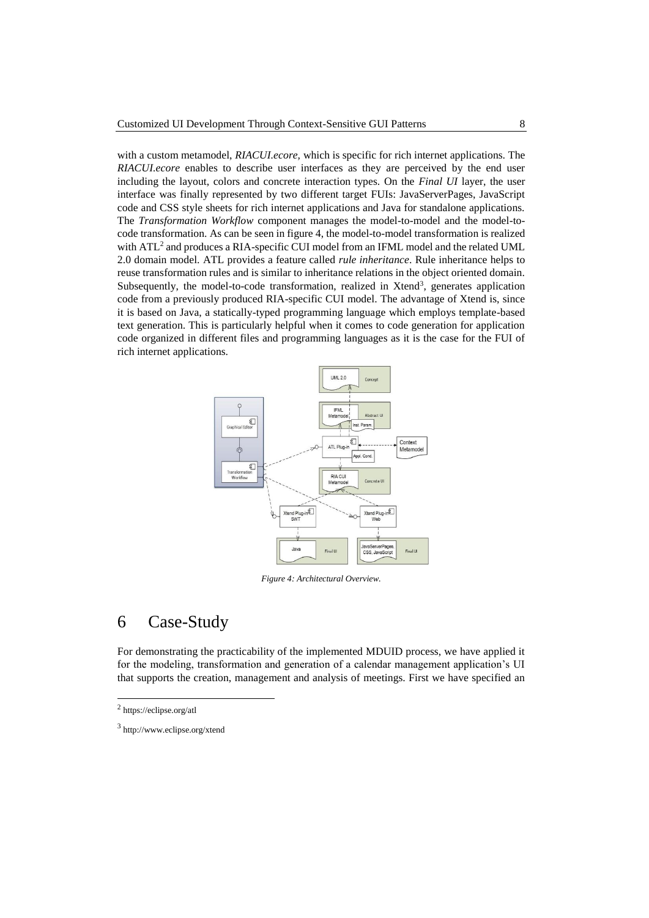with a custom metamodel, *RIACUI.ecore,* which is specific for rich internet applications. The *RIACUI.ecore* enables to describe user interfaces as they are perceived by the end user including the layout, colors and concrete interaction types. On the *Final UI* layer, the user interface was finally represented by two different target FUIs: JavaServerPages, JavaScript code and CSS style sheets for rich internet applications and Java for standalone applications. The *Transformation Workflow* component manages the model-to-model and the model-tocode transformation. As can be seen in figure 4, the model-to-model transformation is realized with ATL<sup>2</sup> and produces a RIA-specific CUI model from an IFML model and the related UML 2.0 domain model. ATL provides a feature called *rule inheritance*. Rule inheritance helps to reuse transformation rules and is similar to inheritance relations in the object oriented domain. Subsequently, the model-to-code transformation, realized in Xtend<sup>3</sup>, generates application code from a previously produced RIA-specific CUI model. The advantage of Xtend is, since it is based on Java, a statically-typed programming language which employs template-based text generation. This is particularly helpful when it comes to code generation for application code organized in different files and programming languages as it is the case for the FUI of rich internet applications.



*Figure 4: Architectural Overview.*

### 6 Case-Study

For demonstrating the practicability of the implemented MDUID process, we have applied it for the modeling, transformation and generation of a calendar management application's UI that supports the creation, management and analysis of meetings. First we have specified an

 $\overline{a}$ 

<sup>&</sup>lt;sup>2</sup> https://eclipse.org/atl

<sup>3</sup> http://www.eclipse.org/xtend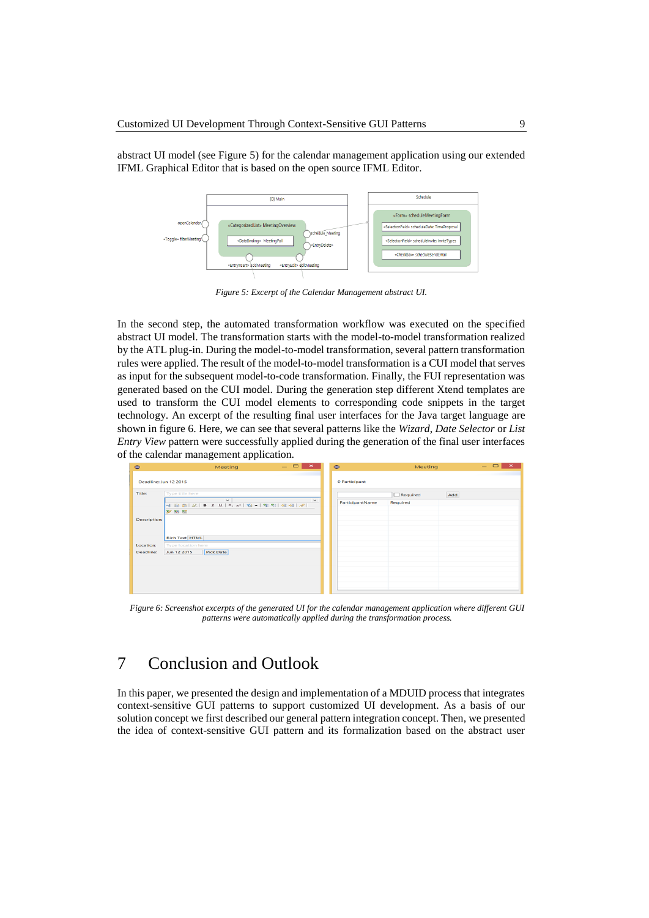abstract UI model (see Figure 5) for the calendar management application using our extended IFML Graphical Editor that is based on the open source IFML Editor.



*Figure 5: Excerpt of the Calendar Management abstract UI.*

In the second step, the automated transformation workflow was executed on the specified abstract UI model. The transformation starts with the model-to-model transformation realized by the ATL plug-in. During the model-to-model transformation, several pattern transformation rules were applied. The result of the model-to-model transformation is a CUI model that serves as input for the subsequent model-to-code transformation. Finally, the FUI representation was generated based on the CUI model. During the generation step different Xtend templates are used to transform the CUI model elements to corresponding code snippets in the target technology. An excerpt of the resulting final user interfaces for the Java target language are shown in figure 6. Here, we can see that several patterns like the *Wizard*, *Date Selector* or *List Entry View* pattern were successfully applied during the generation of the final user interfaces of the calendar management application.



*Figure 6: Screenshot excerpts of the generated UI for the calendar management application where different GUI patterns were automatically applied during the transformation process.*

## 7 Conclusion and Outlook

In this paper, we presented the design and implementation of a MDUID process that integrates context-sensitive GUI patterns to support customized UI development. As a basis of our solution concept we first described our general pattern integration concept. Then, we presented the idea of context-sensitive GUI pattern and its formalization based on the abstract user